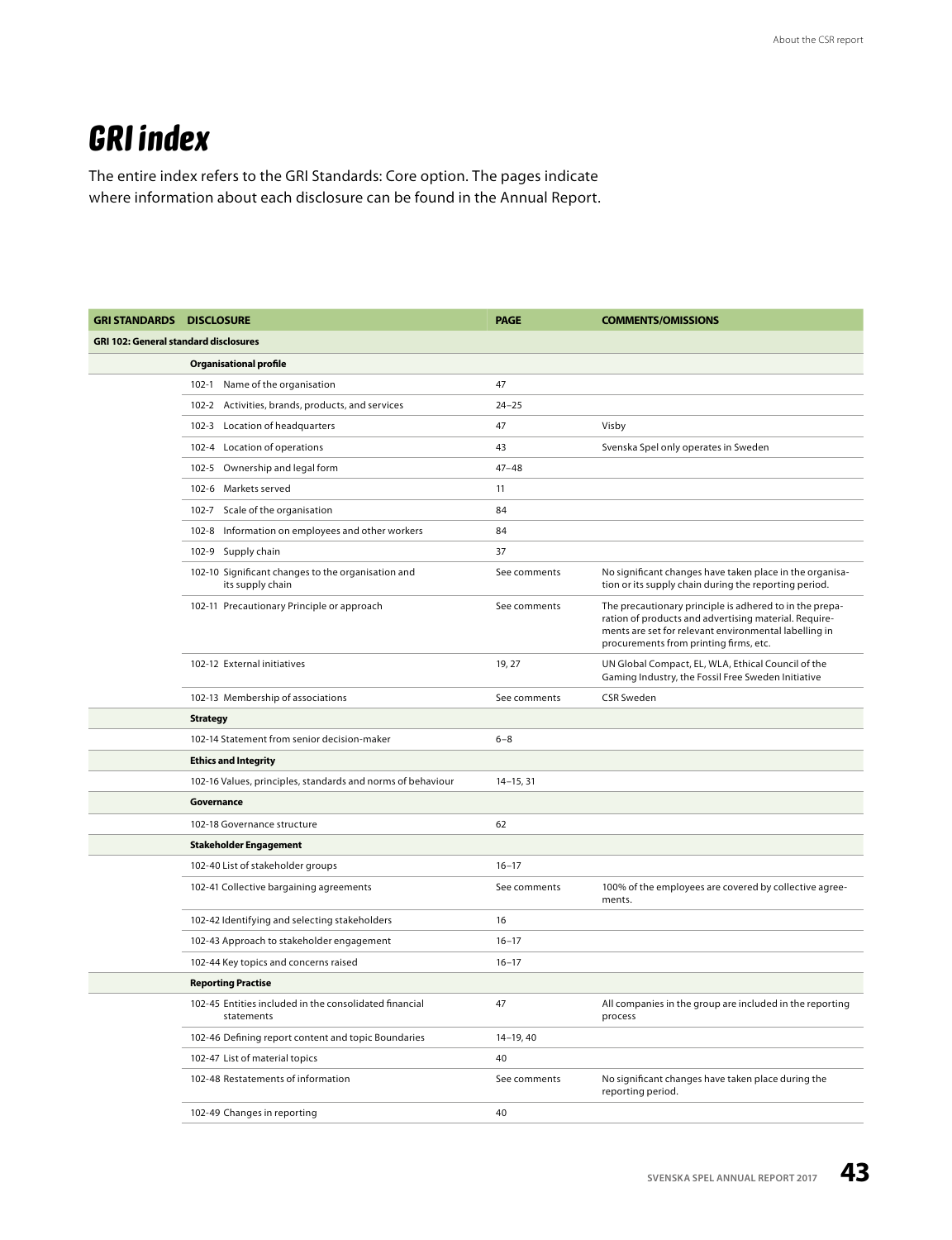## **GRI index**

The entire index refers to the GRI Standards: Core option. The pages indicate where information about each disclosure can be found in the Annual Report.

| <b>GRI STANDARDS DISCLOSURE</b>              |                                                                        | <b>PAGE</b>   | <b>COMMENTS/OMISSIONS</b>                                                                                                                                                                                           |  |  |  |  |
|----------------------------------------------|------------------------------------------------------------------------|---------------|---------------------------------------------------------------------------------------------------------------------------------------------------------------------------------------------------------------------|--|--|--|--|
| <b>GRI 102: General standard disclosures</b> |                                                                        |               |                                                                                                                                                                                                                     |  |  |  |  |
|                                              | <b>Organisational profile</b>                                          |               |                                                                                                                                                                                                                     |  |  |  |  |
|                                              | 102-1 Name of the organisation                                         | 47            |                                                                                                                                                                                                                     |  |  |  |  |
|                                              | 102-2 Activities, brands, products, and services                       | $24 - 25$     |                                                                                                                                                                                                                     |  |  |  |  |
|                                              | $102 - 3$<br>Location of headquarters                                  | 47            | Visby                                                                                                                                                                                                               |  |  |  |  |
|                                              | 102-4 Location of operations                                           | 43            | Svenska Spel only operates in Sweden                                                                                                                                                                                |  |  |  |  |
|                                              | 102-5 Ownership and legal form                                         | $47 - 48$     |                                                                                                                                                                                                                     |  |  |  |  |
|                                              | 102-6 Markets served                                                   | 11            |                                                                                                                                                                                                                     |  |  |  |  |
|                                              | 102-7 Scale of the organisation                                        | 84            |                                                                                                                                                                                                                     |  |  |  |  |
|                                              | 102-8 Information on employees and other workers                       | 84            |                                                                                                                                                                                                                     |  |  |  |  |
|                                              | 102-9 Supply chain                                                     | 37            |                                                                                                                                                                                                                     |  |  |  |  |
|                                              | 102-10 Significant changes to the organisation and<br>its supply chain | See comments  | No significant changes have taken place in the organisa-<br>tion or its supply chain during the reporting period.                                                                                                   |  |  |  |  |
|                                              | 102-11 Precautionary Principle or approach                             | See comments  | The precautionary principle is adhered to in the prepa-<br>ration of products and advertising material. Require-<br>ments are set for relevant environmental labelling in<br>procurements from printing firms, etc. |  |  |  |  |
|                                              | 102-12 External initiatives                                            | 19, 27        | UN Global Compact, EL, WLA, Ethical Council of the<br>Gaming Industry, the Fossil Free Sweden Initiative                                                                                                            |  |  |  |  |
|                                              | 102-13 Membership of associations                                      | See comments  | <b>CSR Sweden</b>                                                                                                                                                                                                   |  |  |  |  |
|                                              | <b>Strategy</b>                                                        |               |                                                                                                                                                                                                                     |  |  |  |  |
|                                              | 102-14 Statement from senior decision-maker                            | $6 - 8$       |                                                                                                                                                                                                                     |  |  |  |  |
|                                              | <b>Ethics and Integrity</b>                                            |               |                                                                                                                                                                                                                     |  |  |  |  |
|                                              | 102-16 Values, principles, standards and norms of behaviour            | $14 - 15, 31$ |                                                                                                                                                                                                                     |  |  |  |  |
|                                              | Governance                                                             |               |                                                                                                                                                                                                                     |  |  |  |  |
|                                              | 102-18 Governance structure                                            | 62            |                                                                                                                                                                                                                     |  |  |  |  |
|                                              | <b>Stakeholder Engagement</b>                                          |               |                                                                                                                                                                                                                     |  |  |  |  |
|                                              | 102-40 List of stakeholder groups                                      | $16 - 17$     |                                                                                                                                                                                                                     |  |  |  |  |
|                                              | 102-41 Collective bargaining agreements                                | See comments  | 100% of the employees are covered by collective agree-<br>ments.                                                                                                                                                    |  |  |  |  |
|                                              | 102-42 Identifying and selecting stakeholders                          | 16            |                                                                                                                                                                                                                     |  |  |  |  |
|                                              | 102-43 Approach to stakeholder engagement                              | $16 - 17$     |                                                                                                                                                                                                                     |  |  |  |  |
|                                              | 102-44 Key topics and concerns raised                                  | $16 - 17$     |                                                                                                                                                                                                                     |  |  |  |  |
|                                              | <b>Reporting Practise</b>                                              |               |                                                                                                                                                                                                                     |  |  |  |  |
|                                              | 102-45 Entities included in the consolidated financial<br>statements   | 47            | All companies in the group are included in the reporting<br>process                                                                                                                                                 |  |  |  |  |
|                                              | 102-46 Defining report content and topic Boundaries                    | $14-19, 40$   |                                                                                                                                                                                                                     |  |  |  |  |
|                                              | 102-47 List of material topics                                         | 40            |                                                                                                                                                                                                                     |  |  |  |  |
|                                              | 102-48 Restatements of information                                     | See comments  | No significant changes have taken place during the<br>reporting period.                                                                                                                                             |  |  |  |  |
|                                              | 102-49 Changes in reporting                                            | 40            |                                                                                                                                                                                                                     |  |  |  |  |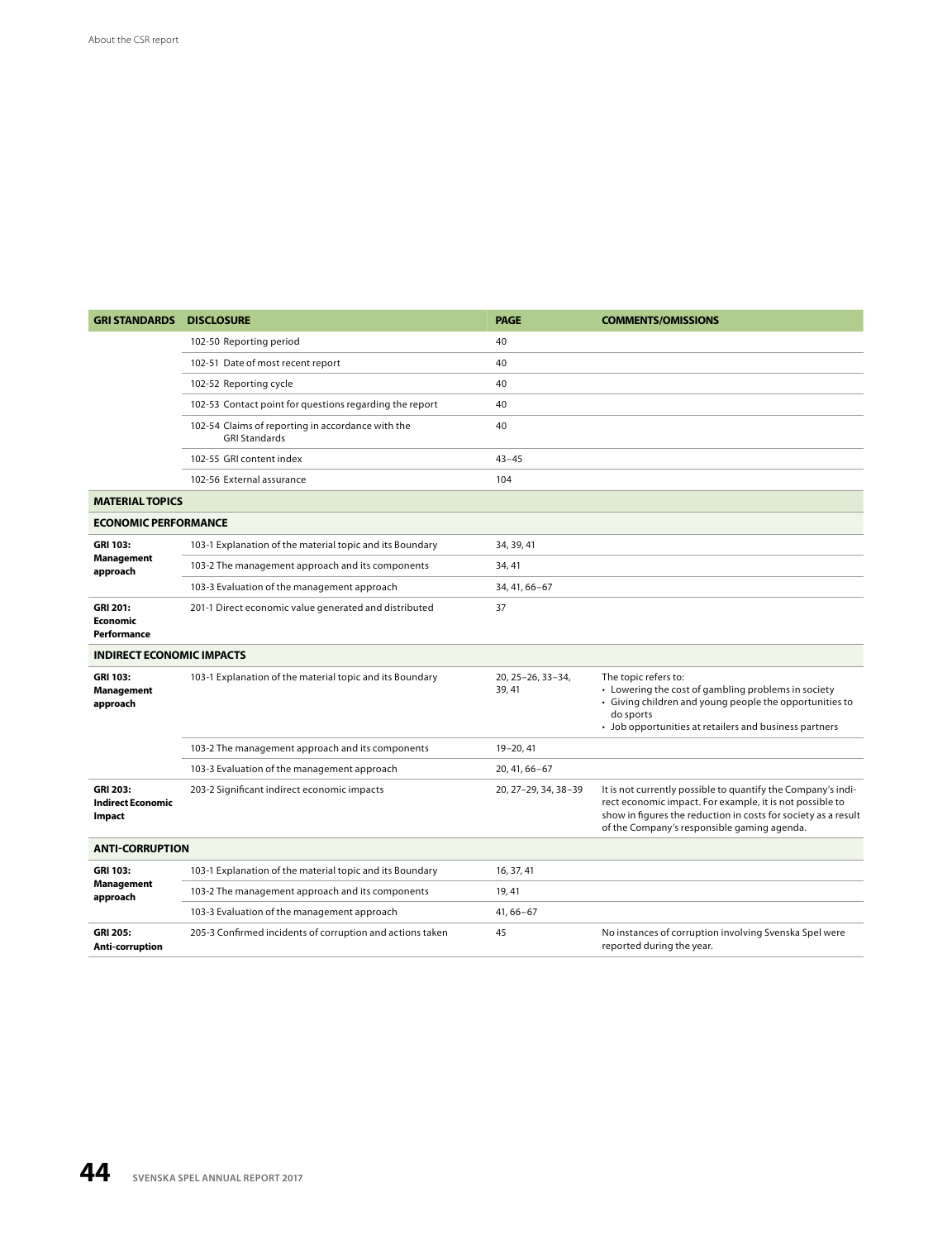| <b>GRI STANDARDS</b>                                  | <b>DISCLOSURE</b>                                                         | <b>PAGE</b>                | <b>COMMENTS/OMISSIONS</b>                                                                                                                                                                                                                 |  |  |  |
|-------------------------------------------------------|---------------------------------------------------------------------------|----------------------------|-------------------------------------------------------------------------------------------------------------------------------------------------------------------------------------------------------------------------------------------|--|--|--|
|                                                       | 102-50 Reporting period                                                   | 40                         |                                                                                                                                                                                                                                           |  |  |  |
|                                                       | 102-51 Date of most recent report                                         | 40                         |                                                                                                                                                                                                                                           |  |  |  |
|                                                       | 102-52 Reporting cycle                                                    | 40                         |                                                                                                                                                                                                                                           |  |  |  |
|                                                       | 102-53 Contact point for questions regarding the report                   | 40                         |                                                                                                                                                                                                                                           |  |  |  |
|                                                       | 102-54 Claims of reporting in accordance with the<br><b>GRI Standards</b> | 40                         |                                                                                                                                                                                                                                           |  |  |  |
|                                                       | 102-55 GRI content index                                                  | $43 - 45$                  |                                                                                                                                                                                                                                           |  |  |  |
|                                                       | 102-56 External assurance                                                 | 104                        |                                                                                                                                                                                                                                           |  |  |  |
| <b>MATERIAL TOPICS</b>                                |                                                                           |                            |                                                                                                                                                                                                                                           |  |  |  |
| <b>ECONOMIC PERFORMANCE</b>                           |                                                                           |                            |                                                                                                                                                                                                                                           |  |  |  |
| <b>GRI 103:</b><br>Management<br>approach             | 103-1 Explanation of the material topic and its Boundary                  | 34, 39, 41                 |                                                                                                                                                                                                                                           |  |  |  |
|                                                       | 103-2 The management approach and its components                          | 34, 41                     |                                                                                                                                                                                                                                           |  |  |  |
|                                                       | 103-3 Evaluation of the management approach                               | 34, 41, 66-67              |                                                                                                                                                                                                                                           |  |  |  |
| <b>GRI 201:</b><br><b>Economic</b><br>Performance     | 201-1 Direct economic value generated and distributed                     | 37                         |                                                                                                                                                                                                                                           |  |  |  |
| <b>INDIRECT ECONOMIC IMPACTS</b>                      |                                                                           |                            |                                                                                                                                                                                                                                           |  |  |  |
| <b>GRI 103:</b><br><b>Management</b><br>approach      | 103-1 Explanation of the material topic and its Boundary                  | 20, 25-26, 33-34,<br>39.41 | The topic refers to:<br>• Lowering the cost of gambling problems in society<br>• Giving children and young people the opportunities to<br>do sports<br>• Job opportunities at retailers and business partners                             |  |  |  |
|                                                       | 103-2 The management approach and its components                          | 19-20, 41                  |                                                                                                                                                                                                                                           |  |  |  |
|                                                       | 103-3 Evaluation of the management approach                               | 20, 41, 66-67              |                                                                                                                                                                                                                                           |  |  |  |
| <b>GRI 203:</b><br><b>Indirect Economic</b><br>Impact | 203-2 Significant indirect economic impacts                               | 20, 27-29, 34, 38-39       | It is not currently possible to quantify the Company's indi-<br>rect economic impact. For example, it is not possible to<br>show in figures the reduction in costs for society as a result<br>of the Company's responsible gaming agenda. |  |  |  |
| <b>ANTI-CORRUPTION</b>                                |                                                                           |                            |                                                                                                                                                                                                                                           |  |  |  |
| <b>GRI 103:</b><br>Management<br>approach             | 103-1 Explanation of the material topic and its Boundary                  | 16, 37, 41                 |                                                                                                                                                                                                                                           |  |  |  |
|                                                       | 103-2 The management approach and its components                          | 19, 41                     |                                                                                                                                                                                                                                           |  |  |  |
|                                                       | 103-3 Evaluation of the management approach                               | $41,66 - 67$               |                                                                                                                                                                                                                                           |  |  |  |
| <b>GRI 205:</b><br><b>Anti-corruption</b>             | 205-3 Confirmed incidents of corruption and actions taken                 | 45                         | No instances of corruption involving Svenska Spel were<br>reported during the year.                                                                                                                                                       |  |  |  |